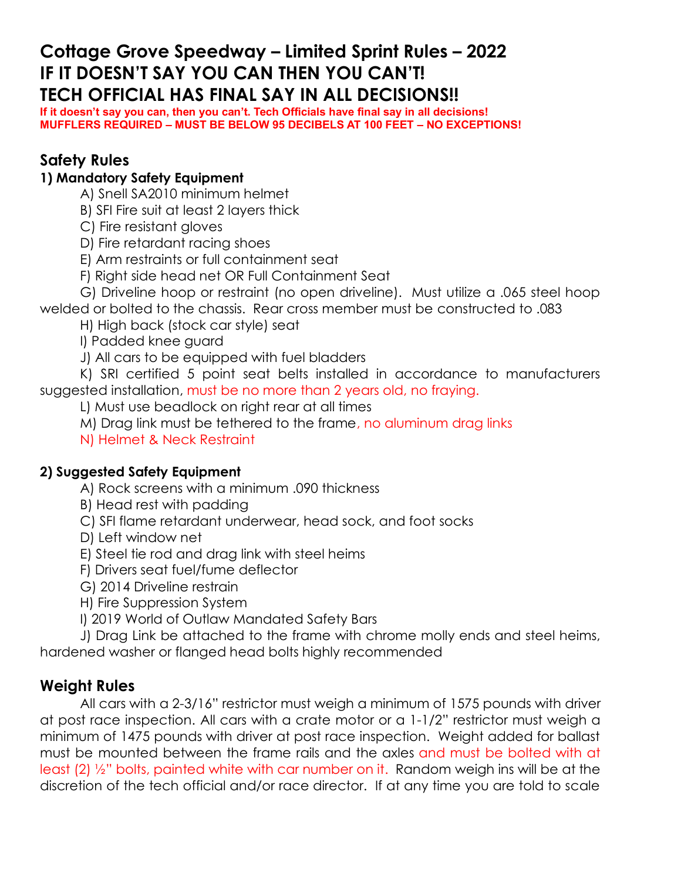# **Cottage Grove Speedway – Limited Sprint Rules – 2022 IF IT DOESN'T SAY YOU CAN THEN YOU CAN'T! TECH OFFICIAL HAS FINAL SAY IN ALL DECISIONS!!**

**If it doesn't say you can, then you can't. Tech Officials have final say in all decisions! MUFFLERS REQUIRED – MUST BE BELOW 95 DECIBELS AT 100 FEET – NO EXCEPTIONS!**

# **Safety Rules**

### **1) Mandatory Safety Equipment**

A) Snell SA2010 minimum helmet

B) SFI Fire suit at least 2 layers thick

C) Fire resistant gloves

D) Fire retardant racing shoes

E) Arm restraints or full containment seat

F) Right side head net OR Full Containment Seat

G) Driveline hoop or restraint (no open driveline). Must utilize a .065 steel hoop welded or bolted to the chassis. Rear cross member must be constructed to .083

H) High back (stock car style) seat

I) Padded knee guard

J) All cars to be equipped with fuel bladders

K) SRI certified 5 point seat belts installed in accordance to manufacturers suggested installation, must be no more than 2 years old, no fraying.

L) Must use beadlock on right rear at all times

M) Drag link must be tethered to the frame, no aluminum drag links

N) Helmet & Neck Restraint

#### **2) Suggested Safety Equipment**

A) Rock screens with a minimum .090 thickness

B) Head rest with padding

C) SFI flame retardant underwear, head sock, and foot socks

D) Left window net

E) Steel tie rod and drag link with steel heims

F) Drivers seat fuel/fume deflector

G) 2014 Driveline restrain

H) Fire Suppression System

I) 2019 World of Outlaw Mandated Safety Bars

J) Drag Link be attached to the frame with chrome molly ends and steel heims, hardened washer or flanged head bolts highly recommended

## **Weight Rules**

All cars with a 2-3/16" restrictor must weigh a minimum of 1575 pounds with driver at post race inspection. All cars with a crate motor or a 1-1/2" restrictor must weigh a minimum of 1475 pounds with driver at post race inspection. Weight added for ballast must be mounted between the frame rails and the axles and must be bolted with at least (2) ½" bolts, painted white with car number on it. Random weigh ins will be at the discretion of the tech official and/or race director. If at any time you are told to scale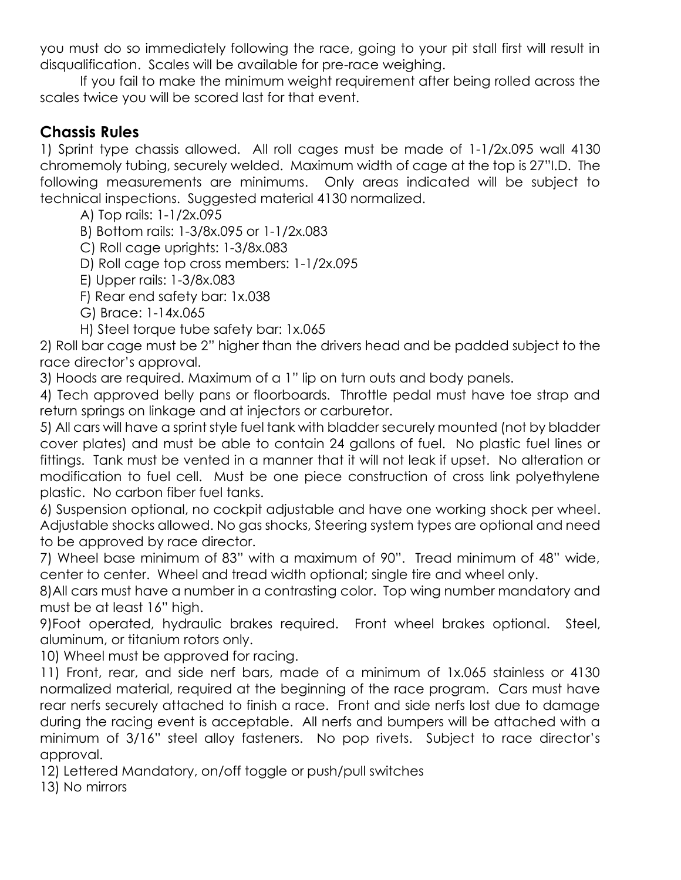you must do so immediately following the race, going to your pit stall first will result in disqualification. Scales will be available for pre-race weighing.

If you fail to make the minimum weight requirement after being rolled across the scales twice you will be scored last for that event.

# **Chassis Rules**

1) Sprint type chassis allowed. All roll cages must be made of 1-1/2x.095 wall 4130 chromemoly tubing, securely welded. Maximum width of cage at the top is 27"I.D. The following measurements are minimums. Only areas indicated will be subject to technical inspections. Suggested material 4130 normalized.

A) Top rails: 1-1/2x.095

B) Bottom rails: 1-3/8x.095 or 1-1/2x.083

C) Roll cage uprights: 1-3/8x.083

D) Roll cage top cross members: 1-1/2x.095

E) Upper rails: 1-3/8x.083

F) Rear end safety bar: 1x.038

G) Brace: 1-14x.065

H) Steel torque tube safety bar: 1x.065

2) Roll bar cage must be 2" higher than the drivers head and be padded subject to the race director's approval.

3) Hoods are required. Maximum of a 1" lip on turn outs and body panels.

4) Tech approved belly pans or floorboards. Throttle pedal must have toe strap and return springs on linkage and at injectors or carburetor.

5) All cars will have a sprint style fuel tank with bladder securely mounted (not by bladder cover plates) and must be able to contain 24 gallons of fuel. No plastic fuel lines or fittings. Tank must be vented in a manner that it will not leak if upset. No alteration or modification to fuel cell. Must be one piece construction of cross link polyethylene plastic. No carbon fiber fuel tanks.

6) Suspension optional, no cockpit adjustable and have one working shock per wheel. Adjustable shocks allowed. No gas shocks, Steering system types are optional and need to be approved by race director.

7) Wheel base minimum of 83" with a maximum of 90". Tread minimum of 48" wide, center to center. Wheel and tread width optional; single tire and wheel only.

8)All cars must have a number in a contrasting color. Top wing number mandatory and must be at least 16" high.

9)Foot operated, hydraulic brakes required. Front wheel brakes optional. Steel, aluminum, or titanium rotors only.

10) Wheel must be approved for racing.

11) Front, rear, and side nerf bars, made of a minimum of 1x.065 stainless or 4130 normalized material, required at the beginning of the race program. Cars must have rear nerfs securely attached to finish a race. Front and side nerfs lost due to damage during the racing event is acceptable. All nerfs and bumpers will be attached with a minimum of 3/16" steel alloy fasteners. No pop rivets. Subject to race director's approval.

12) Lettered Mandatory, on/off toggle or push/pull switches

13) No mirrors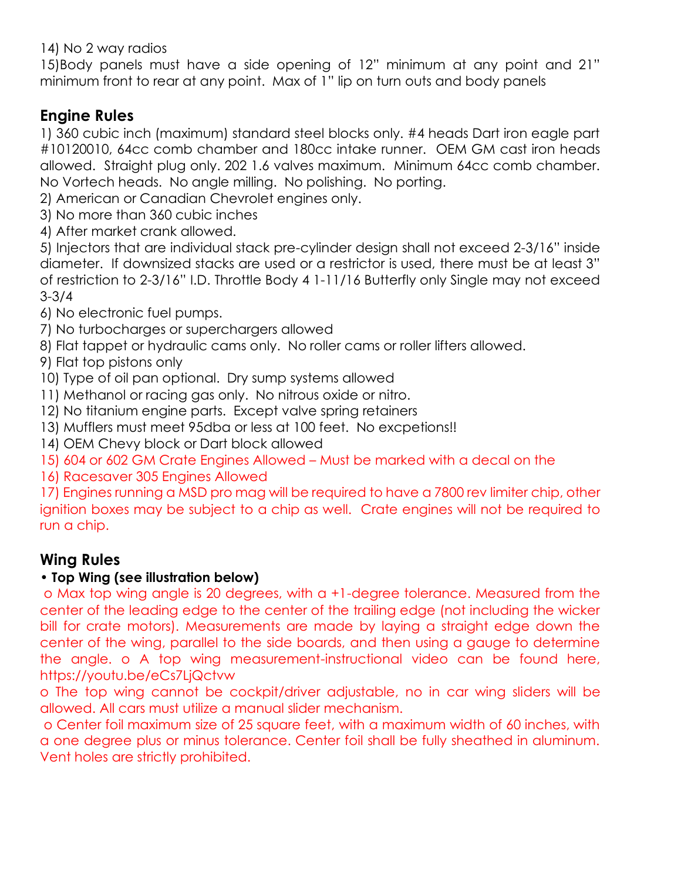14) No 2 way radios

15)Body panels must have a side opening of 12" minimum at any point and 21" minimum front to rear at any point. Max of 1" lip on turn outs and body panels

# **Engine Rules**

1) 360 cubic inch (maximum) standard steel blocks only. #4 heads Dart iron eagle part #10120010, 64cc comb chamber and 180cc intake runner. OEM GM cast iron heads allowed. Straight plug only. 202 1.6 valves maximum. Minimum 64cc comb chamber. No Vortech heads. No angle milling. No polishing. No porting.

2) American or Canadian Chevrolet engines only.

- 3) No more than 360 cubic inches
- 4) After market crank allowed.

5) Injectors that are individual stack pre-cylinder design shall not exceed 2-3/16" inside diameter. If downsized stacks are used or a restrictor is used, there must be at least 3" of restriction to 2-3/16" I.D. Throttle Body 4 1-11/16 Butterfly only Single may not exceed 3-3/4

6) No electronic fuel pumps.

- 7) No turbocharges or superchargers allowed
- 8) Flat tappet or hydraulic cams only. No roller cams or roller lifters allowed.

9) Flat top pistons only

10) Type of oil pan optional. Dry sump systems allowed

- 11) Methanol or racing gas only. No nitrous oxide or nitro.
- 12) No titanium engine parts. Except valve spring retainers
- 13) Mufflers must meet 95dba or less at 100 feet. No excpetions!!
- 14) OEM Chevy block or Dart block allowed
- 15) 604 or 602 GM Crate Engines Allowed Must be marked with a decal on the
- 16) Racesaver 305 Engines Allowed

17) Engines running a MSD pro mag will be required to have a 7800 rev limiter chip, other ignition boxes may be subject to a chip as well. Crate engines will not be required to run a chip.

# **Wing Rules**

## • **Top Wing (see illustration below)**

o Max top wing angle is 20 degrees, with a +1-degree tolerance. Measured from the center of the leading edge to the center of the trailing edge (not including the wicker bill for crate motors). Measurements are made by laying a straight edge down the center of the wing, parallel to the side boards, and then using a gauge to determine the angle. o A top wing measurement-instructional video can be found here, https://youtu.be/eCs7LjQctvw

o The top wing cannot be cockpit/driver adjustable, no in car wing sliders will be allowed. All cars must utilize a manual slider mechanism.

o Center foil maximum size of 25 square feet, with a maximum width of 60 inches, with a one degree plus or minus tolerance. Center foil shall be fully sheathed in aluminum. Vent holes are strictly prohibited.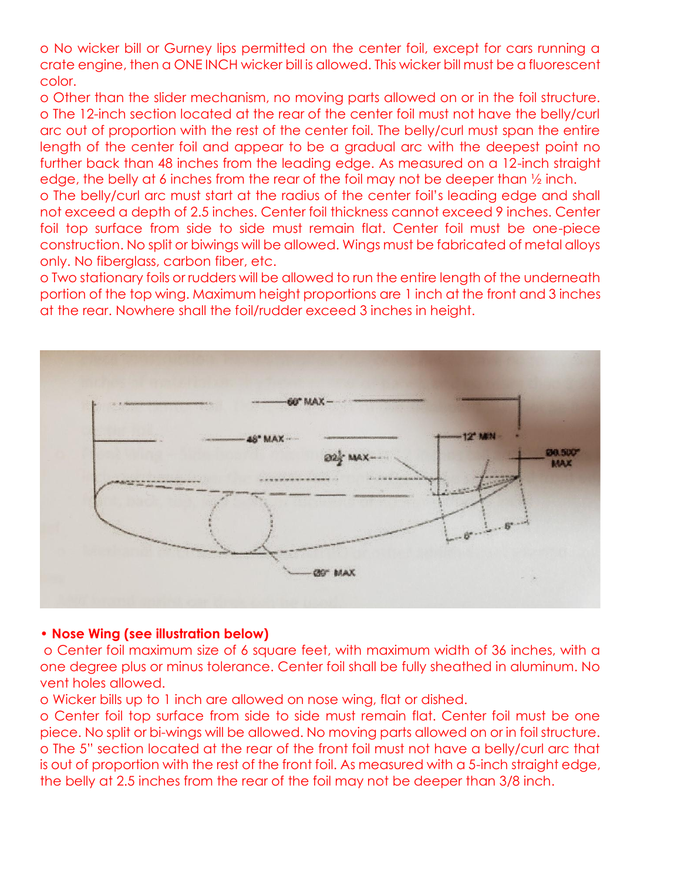o No wicker bill or Gurney lips permitted on the center foil, except for cars running a crate engine, then a ONE INCH wicker bill is allowed. This wicker bill must be a fluorescent color.

o Other than the slider mechanism, no moving parts allowed on or in the foil structure. o The 12-inch section located at the rear of the center foil must not have the belly/curl arc out of proportion with the rest of the center foil. The belly/curl must span the entire length of the center foil and appear to be a gradual arc with the deepest point no further back than 48 inches from the leading edge. As measured on a 12-inch straight edge, the belly at 6 inches from the rear of the foil may not be deeper than ½ inch.

o The belly/curl arc must start at the radius of the center foil's leading edge and shall not exceed a depth of 2.5 inches. Center foil thickness cannot exceed 9 inches. Center foil top surface from side to side must remain flat. Center foil must be one-piece construction. No split or biwings will be allowed. Wings must be fabricated of metal alloys only. No fiberglass, carbon fiber, etc.

o Two stationary foils or rudders will be allowed to run the entire length of the underneath portion of the top wing. Maximum height proportions are 1 inch at the front and 3 inches at the rear. Nowhere shall the foil/rudder exceed 3 inches in height.



#### • **Nose Wing (see illustration below)**

o Center foil maximum size of 6 square feet, with maximum width of 36 inches, with a one degree plus or minus tolerance. Center foil shall be fully sheathed in aluminum. No vent holes allowed.

o Wicker bills up to 1 inch are allowed on nose wing, flat or dished.

o Center foil top surface from side to side must remain flat. Center foil must be one piece. No split or bi-wings will be allowed. No moving parts allowed on or in foil structure. o The 5" section located at the rear of the front foil must not have a belly/curl arc that is out of proportion with the rest of the front foil. As measured with a 5-inch straight edge, the belly at 2.5 inches from the rear of the foil may not be deeper than 3/8 inch.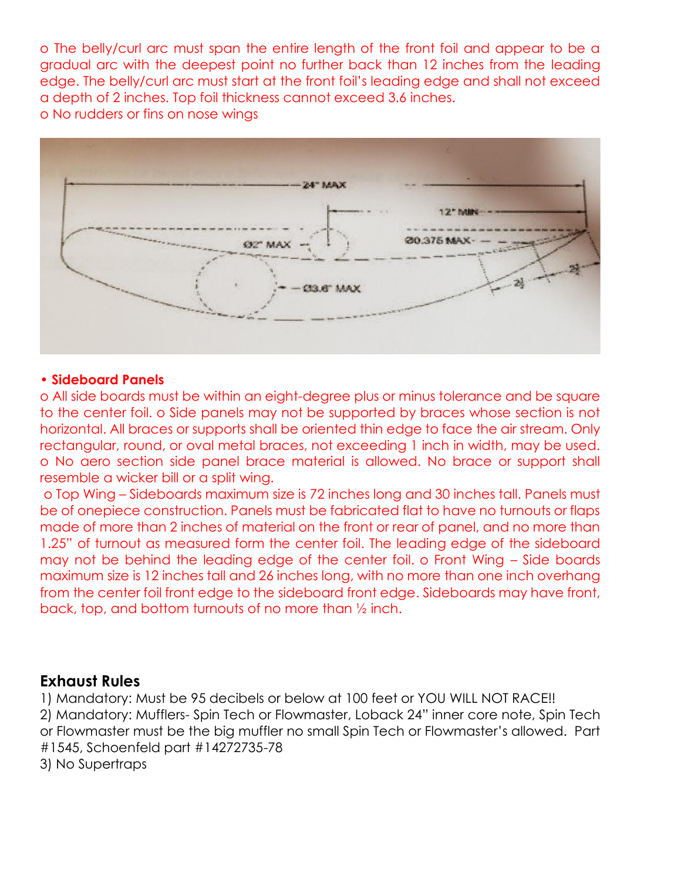o The belly/curl arc must span the entire length of the front foil and appear to be a gradual arc with the deepest point no further back than 12 inches from the leading edge. The belly/curl arc must start at the front foil's leading edge and shall not exceed a depth of 2 inches. Top foil thickness cannot exceed 3.6 inches. o No rudders or fins on nose wings



#### **• Sideboard Panels**

o All side boards must be within an eight-degree plus or minus tolerance and be square to the center foil. o Side panels may not be supported by braces whose section is not horizontal. All braces or supports shall be oriented thin edge to face the air stream. Only rectangular, round, or oval metal braces, not exceeding 1 inch in width, may be used. o No aero section side panel brace material is allowed. No brace or support shall resemble a wicker bill or a split wing.

o Top Wing – Sideboards maximum size is 72 inches long and 30 inches tall. Panels must be of onepiece construction. Panels must be fabricated flat to have no turnouts or flaps made of more than 2 inches of material on the front or rear of panel, and no more than 1.25" of turnout as measured form the center foil. The leading edge of the sideboard may not be behind the leading edge of the center foil. o Front Wing – Side boards maximum size is 12 inches tall and 26 inches long, with no more than one inch overhang from the center foil front edge to the sideboard front edge. Sideboards may have front, back, top, and bottom turnouts of no more than ½ inch.

#### **Exhaust Rules**

1) Mandatory: Must be 95 decibels or below at 100 feet or YOU WILL NOT RACE!! 2) Mandatory: Mufflers- Spin Tech or Flowmaster, Loback 24" inner core note, Spin Tech or Flowmaster must be the big muffler no small Spin Tech or Flowmaster's allowed. Part #1545, Schoenfeld part #14272735-78

3) No Supertraps